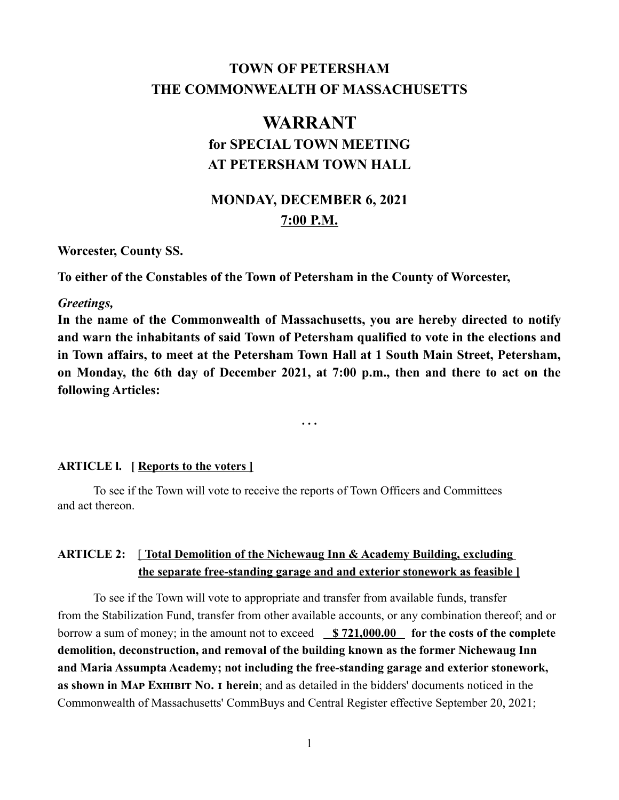# **TOWN OF PETERSHAM THE COMMONWEALTH OF MASSACHUSETTS**

# **WARRANT for SPECIAL TOWN MEETING AT PETERSHAM TOWN HALL**

# **MONDAY, DECEMBER 6, 2021 7:00 P.M.**

**Worcester, County SS.**

**To either of the Constables of the Town of Petersham in the County of Worcester,**

### *Greetings,*

**In the name of the Commonwealth of Massachusetts, you are hereby directed to notify and warn the inhabitants of said Town of Petersham qualified to vote in the elections and in Town affairs, to meet at the Petersham Town Hall at 1 South Main Street, Petersham, on Monday, the 6th day of December 2021, at 7:00 p.m., then and there to act on the following Articles:**

**. . .**

### **ARTICLE l. [ Reports to the voters ]**

To see if the Town will vote to receive the reports of Town Officers and Committees and act thereon.

### **ARTICLE 2:** [ **Total Demolition of the Nichewaug Inn & Academy Building, excluding the separate free-standing garage and and exterior stonework as feasible ]**

To see if the Town will vote to appropriate and transfer from available funds, transfer from the Stabilization Fund, transfer from other available accounts, or any combination thereof; and or borrow a sum of money; in the amount not to exceed **\$721,000.00** for the costs of the complete **demolition, deconstruction, and removal of the building known as the former Nichewaug Inn and Maria Assumpta Academy; not including the free-standing garage and exterior stonework, as shown in Map Exhibit No. 1 herein**; and as detailed in the bidders' documents noticed in the Commonwealth of Massachusetts' CommBuys and Central Register effective September 20, 2021;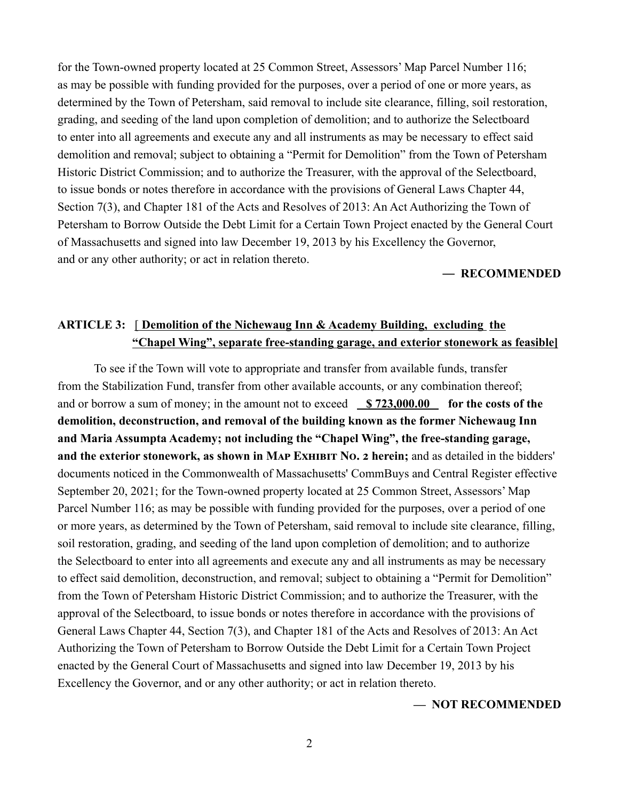for the Town-owned property located at 25 Common Street, Assessors' Map Parcel Number 116; as may be possible with funding provided for the purposes, over a period of one or more years, as determined by the Town of Petersham, said removal to include site clearance, filling, soil restoration, grading, and seeding of the land upon completion of demolition; and to authorize the Selectboard to enter into all agreements and execute any and all instruments as may be necessary to effect said demolition and removal; subject to obtaining a "Permit for Demolition" from the Town of Petersham Historic District Commission; and to authorize the Treasurer, with the approval of the Selectboard, to issue bonds or notes therefore in accordance with the provisions of General Laws Chapter 44, Section 7(3), and Chapter 181 of the Acts and Resolves of 2013: An Act Authorizing the Town of Petersham to Borrow Outside the Debt Limit for a Certain Town Project enacted by the General Court of Massachusetts and signed into law December 19, 2013 by his Excellency the Governor, and or any other authority; or act in relation thereto.

#### — **RECOMMENDED**

### **ARTICLE 3:** [ **Demolition of the Nichewaug Inn & Academy Building, excluding the "Chapel Wing", separate free-standing garage, and exterior stonework as feasible]**

To see if the Town will vote to appropriate and transfer from available funds, transfer from the Stabilization Fund, transfer from other available accounts, or any combination thereof; and or borrow a sum of money; in the amount not to exceed **\$723,000.00** for the costs of the **demolition, deconstruction, and removal of the building known as the former Nichewaug Inn and Maria Assumpta Academy; not including the "Chapel Wing", the free-standing garage, and the exterior stonework, as shown in Map Exhibit No. 2 herein;** and as detailed in the bidders' documents noticed in the Commonwealth of Massachusetts' CommBuys and Central Register effective September 20, 2021; for the Town-owned property located at 25 Common Street, Assessors' Map Parcel Number 116; as may be possible with funding provided for the purposes, over a period of one or more years, as determined by the Town of Petersham, said removal to include site clearance, filling, soil restoration, grading, and seeding of the land upon completion of demolition; and to authorize the Selectboard to enter into all agreements and execute any and all instruments as may be necessary to effect said demolition, deconstruction, and removal; subject to obtaining a "Permit for Demolition" from the Town of Petersham Historic District Commission; and to authorize the Treasurer, with the approval of the Selectboard, to issue bonds or notes therefore in accordance with the provisions of General Laws Chapter 44, Section 7(3), and Chapter 181 of the Acts and Resolves of 2013: An Act Authorizing the Town of Petersham to Borrow Outside the Debt Limit for a Certain Town Project enacted by the General Court of Massachusetts and signed into law December 19, 2013 by his Excellency the Governor, and or any other authority; or act in relation thereto.

#### **— NOT RECOMMENDED**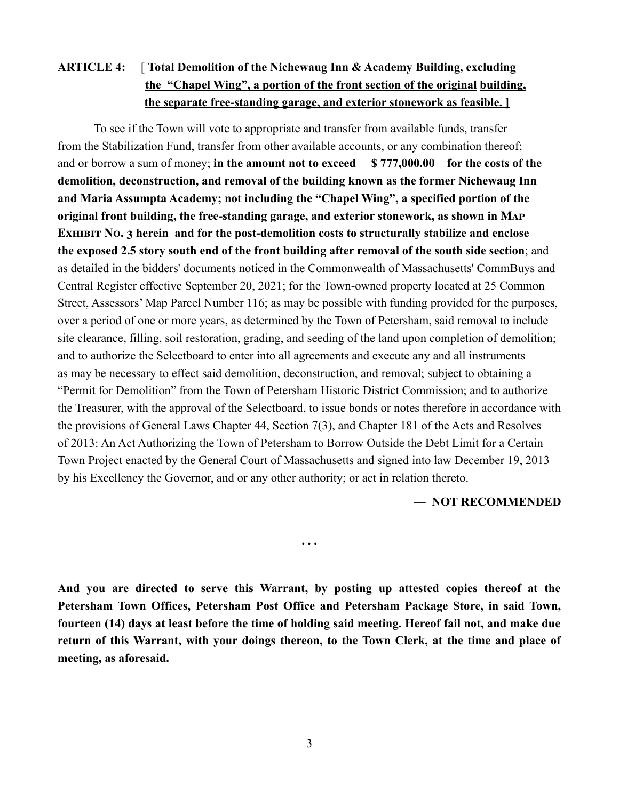## **ARTICLE 4:** [ **Total Demolition of the Nichewaug Inn & Academy Building, excluding the "Chapel Wing", a portion of the front section of the original building, the separate free-standing garage, and exterior stonework as feasible. ]**

To see if the Town will vote to appropriate and transfer from available funds, transfer from the Stabilization Fund, transfer from other available accounts, or any combination thereof; and or borrow a sum of money; in the amount not to exceed \$777,000.00 for the costs of the **demolition, deconstruction, and removal of the building known as the former Nichewaug Inn and Maria Assumpta Academy; not including the "Chapel Wing", a specified portion of the original front building, the free-standing garage, and exterior stonework, as shown in Map Exhibit No. 3 herein and for the post-demolition costs to structurally stabilize and enclose the exposed 2.5 story south end of the front building after removal of the south side section**; and as detailed in the bidders' documents noticed in the Commonwealth of Massachusetts' CommBuys and Central Register effective September 20, 2021; for the Town-owned property located at 25 Common Street, Assessors' Map Parcel Number 116; as may be possible with funding provided for the purposes, over a period of one or more years, as determined by the Town of Petersham, said removal to include site clearance, filling, soil restoration, grading, and seeding of the land upon completion of demolition; and to authorize the Selectboard to enter into all agreements and execute any and all instruments as may be necessary to effect said demolition, deconstruction, and removal; subject to obtaining a "Permit for Demolition" from the Town of Petersham Historic District Commission; and to authorize the Treasurer, with the approval of the Selectboard, to issue bonds or notes therefore in accordance with the provisions of General Laws Chapter 44, Section 7(3), and Chapter 181 of the Acts and Resolves of 2013: An Act Authorizing the Town of Petersham to Borrow Outside the Debt Limit for a Certain Town Project enacted by the General Court of Massachusetts and signed into law December 19, 2013 by his Excellency the Governor, and or any other authority; or act in relation thereto.

### — **NOT RECOMMENDED**

**And you are directed to serve this Warrant, by posting up attested copies thereof at the Petersham Town Offices, Petersham Post Office and Petersham Package Store, in said Town, fourteen (14) days at least before the time of holding said meeting. Hereof fail not, and make due return of this Warrant, with your doings thereon, to the Town Clerk, at the time and place of meeting, as aforesaid.** 

**. . .**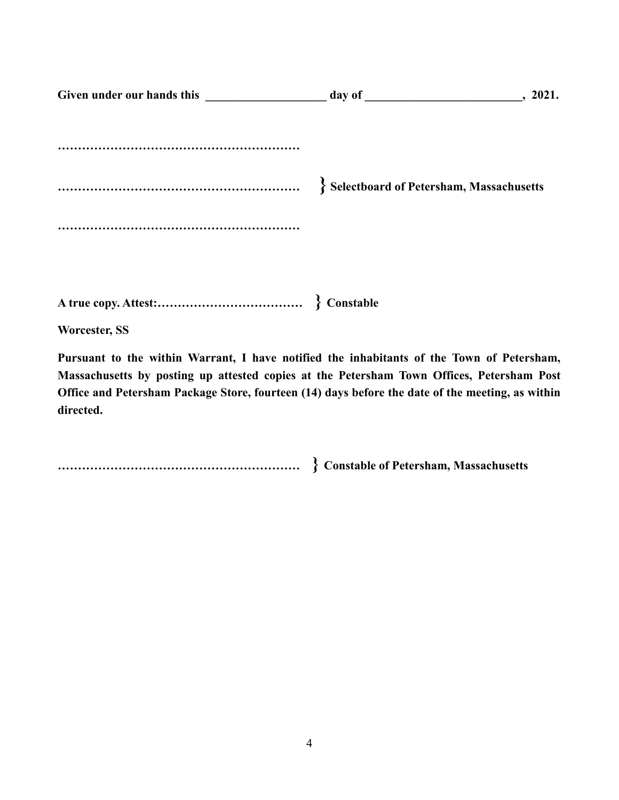| , 2021.                                        |  |
|------------------------------------------------|--|
|                                                |  |
| <b>Selectboard of Petersham, Massachusetts</b> |  |
|                                                |  |
| $\sum_{i=1}^{n}$                               |  |

**A true copy. Attest:……………………………… } Constable**

**Worcester, SS**

**Pursuant to the within Warrant, I have notified the inhabitants of the Town of Petersham, Massachusetts by posting up attested copies at the Petersham Town Offices, Petersham Post Office and Petersham Package Store, fourteen (14) days before the date of the meeting, as within directed.**

**…………………………………………………… } Constable of Petersham, Massachusetts**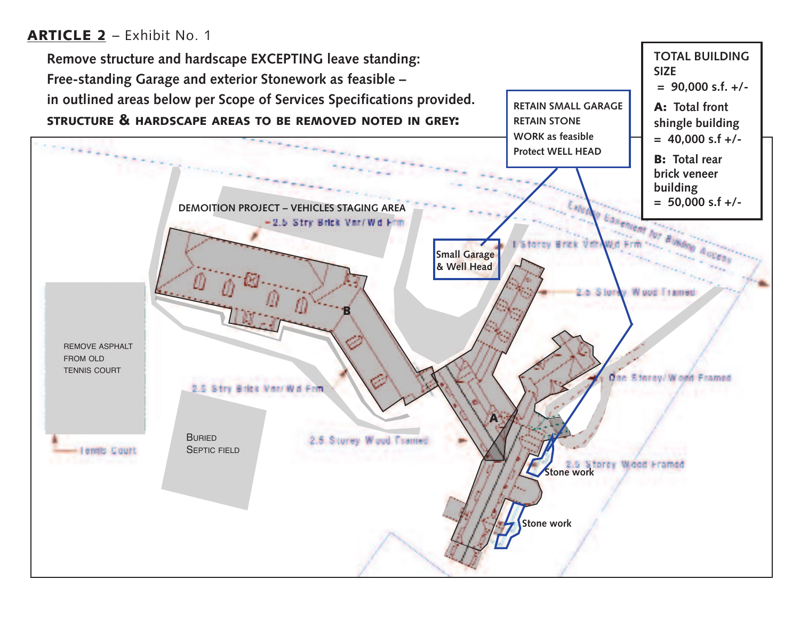# **ARTICLE 2** – Exhibit No. 1

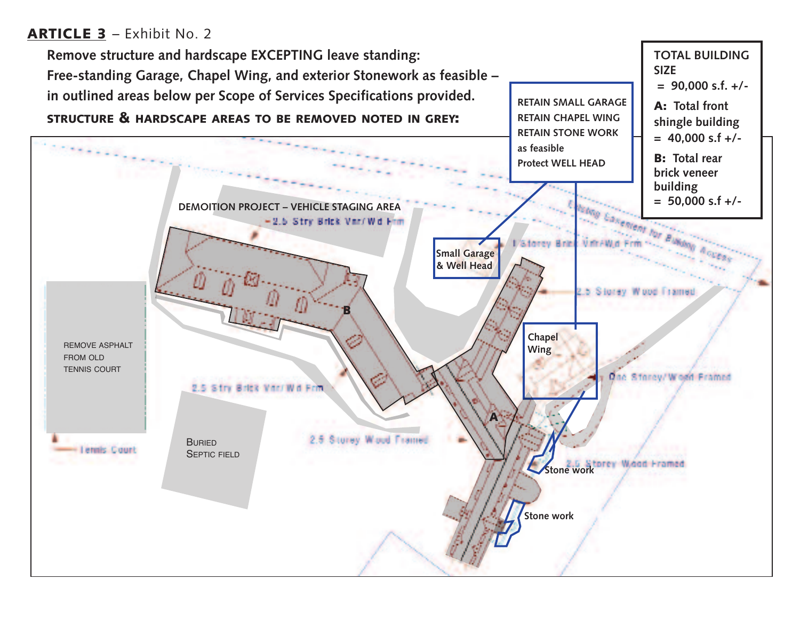# **ARTICLE 3** – Exhibit No. 2